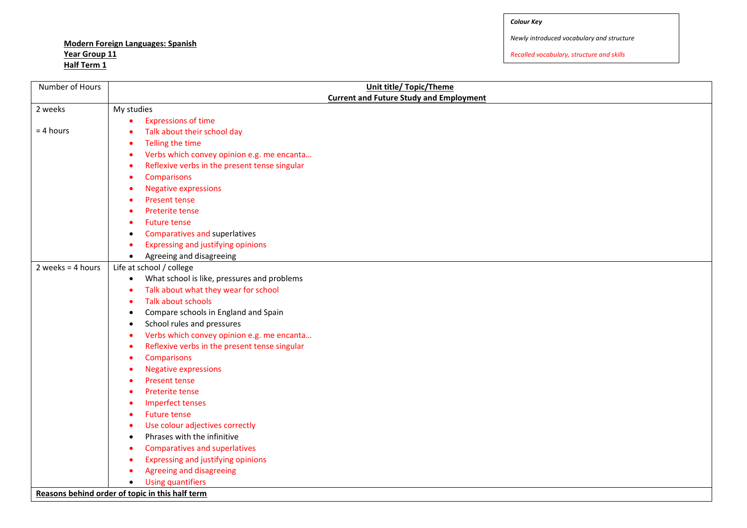# **Modern Foreign Languages: Spanish Year Group 11 Half Term 1**

*Newly introduced vocabulary and structure*

| Number of Hours     | <b>Unit title/ Topic/Theme</b>                           |
|---------------------|----------------------------------------------------------|
|                     | <b>Current and Future Study and Employment</b>           |
| 2 weeks             | My studies                                               |
|                     | <b>Expressions of time</b>                               |
| $= 4$ hours         | Talk about their school day                              |
|                     | Telling the time                                         |
|                     | Verbs which convey opinion e.g. me encanta               |
|                     | Reflexive verbs in the present tense singular            |
|                     | Comparisons                                              |
|                     | <b>Negative expressions</b>                              |
|                     | <b>Present tense</b>                                     |
|                     | Preterite tense                                          |
|                     | <b>Future tense</b>                                      |
|                     | Comparatives and superlatives                            |
|                     | Expressing and justifying opinions                       |
|                     | Agreeing and disagreeing<br>$\bullet$                    |
| 2 weeks = $4$ hours | Life at school / college                                 |
|                     | What school is like, pressures and problems<br>$\bullet$ |
|                     | Talk about what they wear for school                     |
|                     | Talk about schools                                       |
|                     | Compare schools in England and Spain<br>٠                |
|                     | School rules and pressures<br>$\bullet$                  |
|                     | Verbs which convey opinion e.g. me encanta               |
|                     | Reflexive verbs in the present tense singular<br>٠<br>٠  |
|                     | Comparisons<br><b>Negative expressions</b>               |
|                     | <b>Present tense</b><br>٠                                |
|                     | Preterite tense                                          |
|                     | <b>Imperfect tenses</b>                                  |
|                     | <b>Future tense</b><br>٠                                 |
|                     | Use colour adjectives correctly<br>٠                     |
|                     | Phrases with the infinitive<br>$\bullet$                 |
|                     | <b>Comparatives and superlatives</b>                     |
|                     | Expressing and justifying opinions                       |
|                     | Agreeing and disagreeing                                 |
|                     | <b>Using quantifiers</b><br>$\bullet$                    |
|                     | Reasons behind order of topic in this half term          |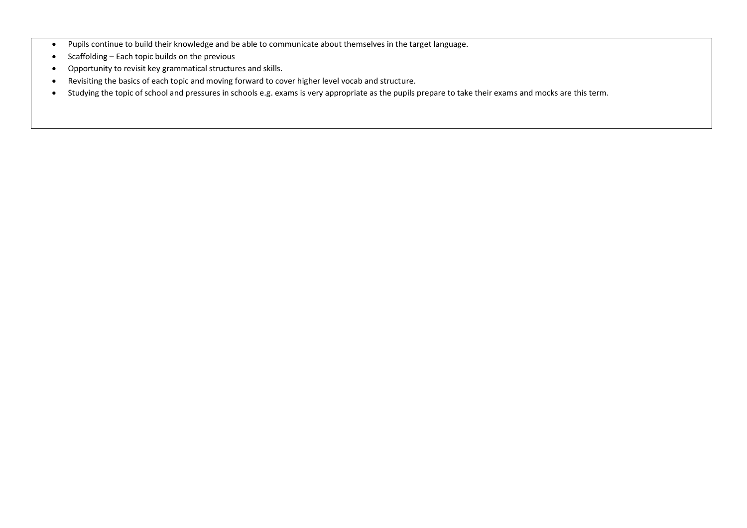- Pupils continue to build their knowledge and be able to communicate about themselves in the target language.
- $\bullet$  Scaffolding Each topic builds on the previous
- Opportunity to revisit key grammatical structures and skills.
- Revisiting the basics of each topic and moving forward to cover higher level vocab and structure.
- Studying the topic of school and pressures in schools e.g. exams is very appropriate as the pupils prepare to take their exams and mocks are this term.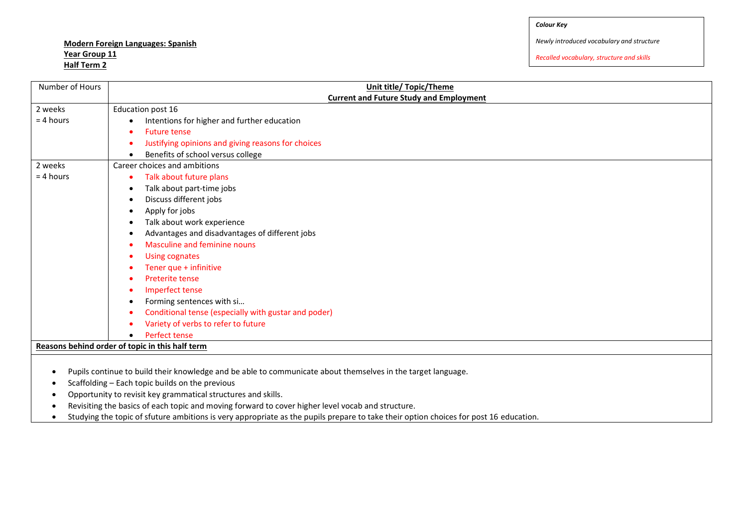## **Modern Foreign Languages: Spanish Year Group 11 Half Term 2**

*Newly introduced vocabulary and structure*

| Number of Hours                                                                                   | Unit title/ Topic/Theme                                                                                                               |  |
|---------------------------------------------------------------------------------------------------|---------------------------------------------------------------------------------------------------------------------------------------|--|
|                                                                                                   | <b>Current and Future Study and Employment</b>                                                                                        |  |
| 2 weeks                                                                                           | Education post 16                                                                                                                     |  |
| $= 4$ hours                                                                                       | Intentions for higher and further education                                                                                           |  |
|                                                                                                   | <b>Future tense</b>                                                                                                                   |  |
|                                                                                                   | Justifying opinions and giving reasons for choices                                                                                    |  |
|                                                                                                   | Benefits of school versus college<br>$\bullet$                                                                                        |  |
| 2 weeks                                                                                           | Career choices and ambitions                                                                                                          |  |
| $= 4$ hours                                                                                       | Talk about future plans<br>$\bullet$                                                                                                  |  |
|                                                                                                   | Talk about part-time jobs<br>٠                                                                                                        |  |
|                                                                                                   | Discuss different jobs<br>$\bullet$                                                                                                   |  |
|                                                                                                   | Apply for jobs<br>$\bullet$                                                                                                           |  |
|                                                                                                   | Talk about work experience<br>٠                                                                                                       |  |
|                                                                                                   | Advantages and disadvantages of different jobs                                                                                        |  |
|                                                                                                   | Masculine and feminine nouns                                                                                                          |  |
|                                                                                                   | <b>Using cognates</b><br>$\bullet$                                                                                                    |  |
|                                                                                                   | Tener que + infinitive                                                                                                                |  |
|                                                                                                   | Preterite tense                                                                                                                       |  |
|                                                                                                   | Imperfect tense                                                                                                                       |  |
|                                                                                                   | Forming sentences with si<br>٠                                                                                                        |  |
|                                                                                                   | Conditional tense (especially with gustar and poder)                                                                                  |  |
|                                                                                                   | Variety of verbs to refer to future                                                                                                   |  |
|                                                                                                   | Perfect tense                                                                                                                         |  |
|                                                                                                   | Reasons behind order of topic in this half term                                                                                       |  |
|                                                                                                   |                                                                                                                                       |  |
| $\bullet$                                                                                         | Pupils continue to build their knowledge and be able to communicate about themselves in the target language.                          |  |
| $\bullet$                                                                                         | Scaffolding - Each topic builds on the previous                                                                                       |  |
| Opportunity to revisit key grammatical structures and skills.                                     |                                                                                                                                       |  |
| Revisiting the basics of each topic and moving forward to cover higher level vocab and structure. |                                                                                                                                       |  |
|                                                                                                   | Studying the topic of sfuture ambitions is very appropriate as the pupils prepare to take their option choices for post 16 education. |  |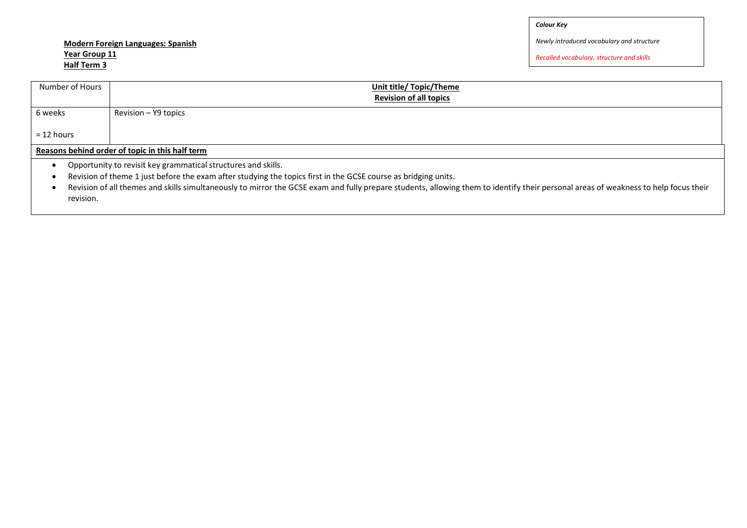## **Modern Foreign Languages: Spanish Year Group 11 Half Term 3**

*Newly introduced vocabulary and structure*

| Number of Hours                                                                                                                                                                                                                                                                                                                                                                     | Unit title/ Topic/Theme<br><b>Revision of all topics</b> |
|-------------------------------------------------------------------------------------------------------------------------------------------------------------------------------------------------------------------------------------------------------------------------------------------------------------------------------------------------------------------------------------|----------------------------------------------------------|
| 6 weeks                                                                                                                                                                                                                                                                                                                                                                             | Revision - Y9 topics                                     |
| $= 12$ hours                                                                                                                                                                                                                                                                                                                                                                        |                                                          |
| Reasons behind order of topic in this half term                                                                                                                                                                                                                                                                                                                                     |                                                          |
| Opportunity to revisit key grammatical structures and skills.<br>Revision of theme 1 just before the exam after studying the topics first in the GCSE course as bridging units.<br>Revision of all themes and skills simultaneously to mirror the GCSE exam and fully prepare students, allowing them to identify their personal areas of weakness to help focus their<br>revision. |                                                          |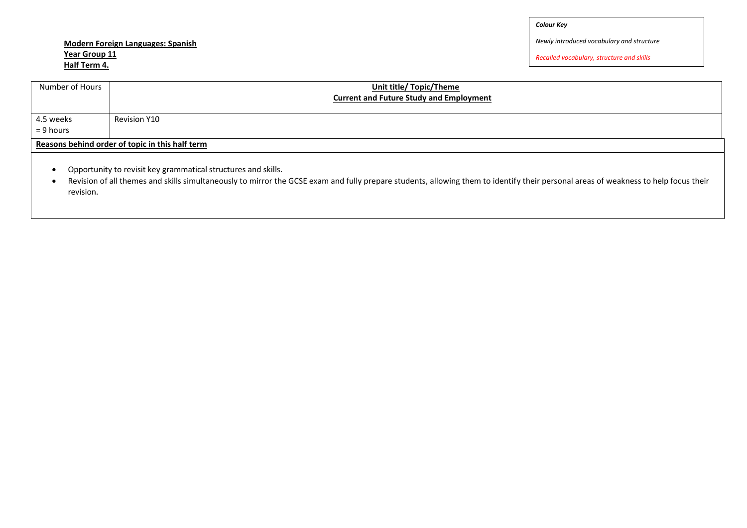## **Modern Foreign Languages: Spanish Year Group 11 Half Term 4.**

*Newly introduced vocabulary and structure*

*Recalled vocabulary, structure and skills*

| Number of Hours                                               | <b>Unit title/ Topic/Theme</b><br><b>Current and Future Study and Employment</b> |  |
|---------------------------------------------------------------|----------------------------------------------------------------------------------|--|
| 4.5 weeks<br>$= 9$ hours                                      | <b>Revision Y10</b>                                                              |  |
| Reasons behind order of topic in this half term               |                                                                                  |  |
| Opportunity to revisit key grammatical structures and skills. |                                                                                  |  |

 Revision of all themes and skills simultaneously to mirror the GCSE exam and fully prepare students, allowing them to identify their personal areas of weakness to help focus their revision.